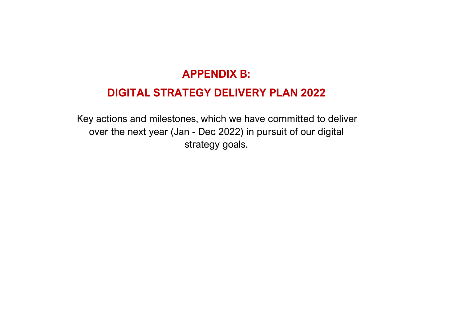## **APPENDIX B:**

## **DIGITAL STRATEGY DELIVERY PLAN 2022**

Key actions and milestones, which we have committed to deliver over the next year (Jan - Dec 2022) in pursuit of our digital strategy goals.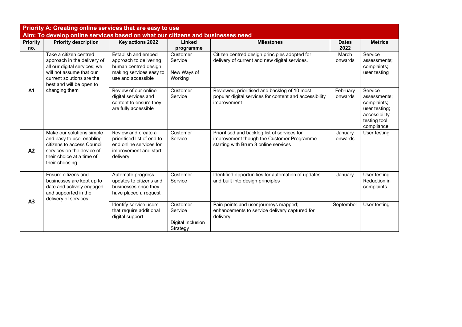| Priority A: Creating online services that are easy to use                      |                                                                                                                                                                            |                                                                                                                        |                                                      |                                                                                                                                   |                      |                                                                                                        |  |  |
|--------------------------------------------------------------------------------|----------------------------------------------------------------------------------------------------------------------------------------------------------------------------|------------------------------------------------------------------------------------------------------------------------|------------------------------------------------------|-----------------------------------------------------------------------------------------------------------------------------------|----------------------|--------------------------------------------------------------------------------------------------------|--|--|
| Aim: To develop online services based on what our citizens and businesses need |                                                                                                                                                                            |                                                                                                                        |                                                      |                                                                                                                                   |                      |                                                                                                        |  |  |
| <b>Priority</b><br>no.                                                         | <b>Priority description</b>                                                                                                                                                | Key actions 2022                                                                                                       | Linked<br>programme                                  | <b>Milestones</b>                                                                                                                 | <b>Dates</b><br>2022 | <b>Metrics</b>                                                                                         |  |  |
|                                                                                | Take a citizen centred<br>approach in the delivery of<br>all our digital services; we<br>will not assume that our<br>current solutions are the<br>best and will be open to | Establish and embed<br>approach to delivering<br>human centred design<br>making services easy to<br>use and accessible | Customer<br>Service<br>New Ways of<br>Working        | Citizen centred design principles adopted for<br>delivery of current and new digital services.                                    | March<br>onwards     | Service<br>assessments:<br>complaints;<br>user testing                                                 |  |  |
| A1                                                                             | changing them                                                                                                                                                              | Review of our online<br>digital services and<br>content to ensure they<br>are fully accessible                         | Customer<br>Service                                  | Reviewed, prioritised and backlog of 10 most<br>popular digital services for content and accessibility<br>improvement             | February<br>onwards  | Service<br>assessments:<br>complaints;<br>user testing;<br>accessibility<br>testing tool<br>compliance |  |  |
| A2                                                                             | Make our solutions simple<br>and easy to use, enabling<br>citizens to access Council<br>services on the device of<br>their choice at a time of<br>their choosing           | Review and create a<br>prioritised list of end to<br>end online services for<br>improvement and start<br>delivery      | Customer<br>Service                                  | Prioritised and backlog list of services for<br>improvement though the Customer Programme<br>starting with Brum 3 online services | January<br>onwards   | User testing                                                                                           |  |  |
|                                                                                | Ensure citizens and<br>businesses are kept up to<br>date and actively engaged<br>and supported in the<br>delivery of services                                              | Automate progress<br>updates to citizens and<br>businesses once they<br>have placed a request                          | Customer<br>Service                                  | Identified opportunities for automation of updates<br>and built into design principles                                            | January              | User testing<br>Reduction in<br>complaints                                                             |  |  |
| A <sub>3</sub>                                                                 |                                                                                                                                                                            | Identify service users<br>that require additional<br>digital support                                                   | Customer<br>Service<br>Digital Inclusion<br>Strategy | Pain points and user journeys mapped;<br>enhancements to service delivery captured for<br>delivery                                | September            | User testing                                                                                           |  |  |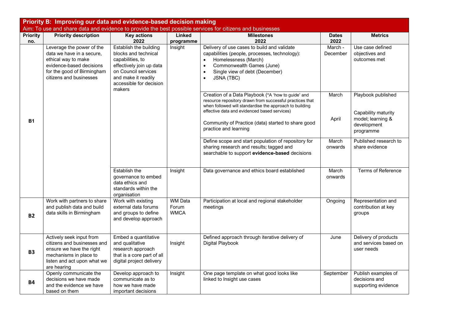| Priority B: Improving our data and evidence-based decision making |                                                                                                                                                                    |                                                                                                                                                                                   |                                        |                                                                                                                                                                                                                                                                                                          |                      |                                                                                            |  |
|-------------------------------------------------------------------|--------------------------------------------------------------------------------------------------------------------------------------------------------------------|-----------------------------------------------------------------------------------------------------------------------------------------------------------------------------------|----------------------------------------|----------------------------------------------------------------------------------------------------------------------------------------------------------------------------------------------------------------------------------------------------------------------------------------------------------|----------------------|--------------------------------------------------------------------------------------------|--|
|                                                                   |                                                                                                                                                                    |                                                                                                                                                                                   |                                        | Aim: To use and share data and evidence to provide the best possible services for citizens and businesses                                                                                                                                                                                                |                      |                                                                                            |  |
| <b>Priority</b><br>no.                                            | <b>Priority description</b>                                                                                                                                        | <b>Key actions</b><br>2022                                                                                                                                                        | Linked<br>programme                    | <b>Milestones</b><br>2022                                                                                                                                                                                                                                                                                | <b>Dates</b><br>2022 | <b>Metrics</b>                                                                             |  |
|                                                                   | Leverage the power of the<br>data we have in a secure,<br>ethical way to make<br>evidence-based decisions<br>for the good of Birmingham<br>citizens and businesses | Establish the building<br>blocks and technical<br>capabilities, to<br>effectively join up data<br>on Council services<br>and make it readily<br>accessible for decision<br>makers | Insight                                | Delivery of use cases to build and validate<br>capabilities (people, processes, technology):<br>Homelessness (March)<br>$\bullet$<br>Commonwealth Games (June)<br>$\bullet$<br>Single view of debt (December)<br>$\bullet$<br><b>JSNA (TBC)</b><br>$\bullet$                                             | March -<br>December  | Use case defined<br>objectives and<br>outcomes met                                         |  |
| <b>B1</b>                                                         |                                                                                                                                                                    |                                                                                                                                                                                   |                                        | Creation of a Data Playbook (*A 'how to guide' and<br>resource repository drawn from successful practices that<br>when followed will standardise the approach to building<br>effective data and evidenced based services)<br>Community of Practice (data) started to share good<br>practice and learning | March<br>April       | Playbook published<br>Capability maturity<br>model; learning &<br>development<br>programme |  |
|                                                                   |                                                                                                                                                                    |                                                                                                                                                                                   |                                        | Define scope and start population of repository for<br>sharing research and results; tagged and<br>searchable to support evidence-based decisions                                                                                                                                                        | March<br>onwards     | Published research to<br>share evidence                                                    |  |
|                                                                   |                                                                                                                                                                    | Establish the<br>governance to embed<br>data ethics and<br>standards within the<br>organisation                                                                                   | Insight                                | Data governance and ethics board established                                                                                                                                                                                                                                                             | March<br>onwards     | <b>Terms of Reference</b>                                                                  |  |
| <b>B2</b>                                                         | Work with partners to share<br>and publish data and build<br>data skills in Birmingham                                                                             | Work with existing<br>external data forums<br>and groups to define<br>and develop approach                                                                                        | <b>WM Data</b><br>Forum<br><b>WMCA</b> | Participation at local and regional stakeholder<br>meetings                                                                                                                                                                                                                                              | Ongoing              | Representation and<br>contribution at key<br>groups                                        |  |
| <b>B3</b>                                                         | Actively seek input from<br>citizens and businesses and<br>ensure we have the right<br>mechanisms in place to<br>listen and act upon what we<br>are hearing        | Embed a quantitative<br>and qualitative<br>research approach<br>that is a core part of all<br>digital project delivery                                                            | Insight                                | Defined approach through iterative delivery of<br>Digital Playbook                                                                                                                                                                                                                                       | June                 | Delivery of products<br>and services based on<br>user needs                                |  |
| <b>B4</b>                                                         | Openly communicate the<br>decisions we have made<br>and the evidence we have<br>based on them                                                                      | Develop approach to<br>communicate as to<br>how we have made<br>important decisions                                                                                               | Insight                                | One page template on what good looks like<br>linked to Insight use cases                                                                                                                                                                                                                                 | September            | Publish examples of<br>decisions and<br>supporting evidence                                |  |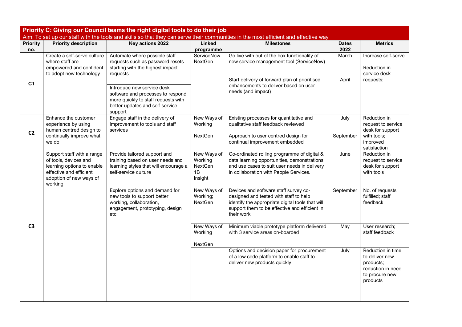| Priority C: Giving our Council teams the right digital tools to do their job                                                        |                                                                                                                                                    |                                                                                                                                                                                                                                                                           |                                                    |                                                                                                                                                                                                          |                      |                                                                                                     |  |
|-------------------------------------------------------------------------------------------------------------------------------------|----------------------------------------------------------------------------------------------------------------------------------------------------|---------------------------------------------------------------------------------------------------------------------------------------------------------------------------------------------------------------------------------------------------------------------------|----------------------------------------------------|----------------------------------------------------------------------------------------------------------------------------------------------------------------------------------------------------------|----------------------|-----------------------------------------------------------------------------------------------------|--|
| Aim: To set up our staff with the tools and skills so that they can serve their communities in the most efficient and effective way |                                                                                                                                                    |                                                                                                                                                                                                                                                                           |                                                    |                                                                                                                                                                                                          |                      |                                                                                                     |  |
| <b>Priority</b><br>no.                                                                                                              | <b>Priority description</b>                                                                                                                        | Key actions 2022                                                                                                                                                                                                                                                          | Linked<br>programme                                | <b>Milestones</b>                                                                                                                                                                                        | <b>Dates</b><br>2022 | <b>Metrics</b>                                                                                      |  |
| C <sub>1</sub>                                                                                                                      | Create a self-serve culture<br>where staff are<br>empowered and confident<br>to adopt new technology                                               | Automate where possible staff<br>requests such as password resets<br>starting with the highest impact<br>requests<br>Introduce new service desk<br>software and processes to respond<br>more quickly to staff requests with<br>better updates and self-service<br>support | ServiceNow<br>NextGen                              | Go live with out of the box functionality of<br>new service management tool (ServiceNow)<br>Start delivery of forward plan of prioritised<br>enhancements to deliver based on user<br>needs (and impact) | March<br>April       | Increase self-serve<br>Reduction in<br>service desk<br>requests;                                    |  |
| C <sub>2</sub>                                                                                                                      | Enhance the customer<br>experience by using<br>human centred design to<br>continually improve what<br>we do                                        | Engage staff in the delivery of<br>improvement to tools and staff<br>services                                                                                                                                                                                             | New Ways of<br>Working<br><b>NextGen</b>           | Existing processes for quantitative and<br>qualitative staff feedback reviewed<br>Approach to user centred design for<br>continual improvement embedded                                                  | July<br>September    | Reduction in<br>request to service<br>desk for support<br>with tools;<br>improved<br>satisfaction   |  |
| C <sub>3</sub>                                                                                                                      | Support staff with a range<br>of tools, devices and<br>learning options to enable<br>effective and efficient<br>adoption of new ways of<br>working | Provide tailored support and<br>training based on user needs and<br>learning styles that will encourage a<br>self-service culture                                                                                                                                         | New Ways of<br>Working<br>NextGen<br>1B<br>Insight | Co-ordinated rolling programme of digital &<br>data learning opportunities, demonstrations<br>and use cases to suit user needs in delivery<br>in collaboration with People Services.                     | June                 | Reduction in<br>request to service<br>desk for support<br>with tools                                |  |
|                                                                                                                                     |                                                                                                                                                    | Explore options and demand for<br>new tools to support better<br>working, collaboration,<br>engagement, prototyping, design<br>etc                                                                                                                                        | New Ways of<br>Working;<br>NextGen                 | Devices and software staff survey co-<br>designed and tested with staff to help<br>identify the appropriate digital tools that will<br>support them to be effective and efficient in<br>their work       | September            | No. of requests<br>fulfilled; staff<br>feedback                                                     |  |
|                                                                                                                                     |                                                                                                                                                    |                                                                                                                                                                                                                                                                           | New Ways of<br>Working<br>NextGen                  | Minimum viable prototype platform delivered<br>with 3 service areas on-boarded                                                                                                                           | May                  | User research;<br>staff feedback                                                                    |  |
|                                                                                                                                     |                                                                                                                                                    |                                                                                                                                                                                                                                                                           |                                                    | Options and decision paper for procurement<br>of a low code platform to enable staff to<br>deliver new products quickly                                                                                  | July                 | Reduction in time<br>to deliver new<br>products;<br>reduction in need<br>to procure new<br>products |  |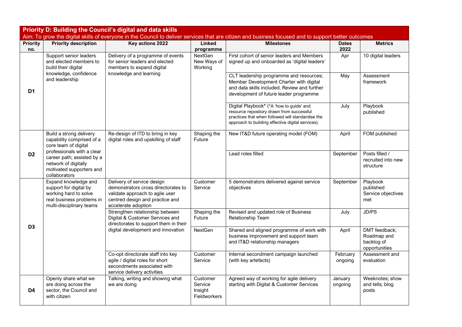| <b>Priority D: Building the Council's digital and data skills</b> |                                                                                                                                  |                                                                                                                                                                |                                                       |                                                                                                                                                                                                 |                      |                                                             |  |
|-------------------------------------------------------------------|----------------------------------------------------------------------------------------------------------------------------------|----------------------------------------------------------------------------------------------------------------------------------------------------------------|-------------------------------------------------------|-------------------------------------------------------------------------------------------------------------------------------------------------------------------------------------------------|----------------------|-------------------------------------------------------------|--|
|                                                                   |                                                                                                                                  |                                                                                                                                                                |                                                       | Aim: To grow the digital skills of everyone in the Council to deliver services that are citizen and business focused and to support better outcomes                                             |                      |                                                             |  |
| <b>Priority</b><br>no.                                            | <b>Priority description</b>                                                                                                      | Key actions 2022                                                                                                                                               | <b>Linked</b><br>programme                            | <b>Milestones</b>                                                                                                                                                                               | <b>Dates</b><br>2022 | <b>Metrics</b>                                              |  |
| D <sub>1</sub>                                                    | Support senior leaders<br>and elected members to<br>build their digital<br>knowledge, confidence                                 | Delivery of a programme of events<br>for senior leaders and elected<br>members to expand digital                                                               | NextGen<br>New Ways of<br>Working                     | First cohort of senior leaders and Members<br>signed up and onboarded as 'digital leaders'                                                                                                      | Apr                  | 10 digital leaders                                          |  |
|                                                                   | and leadership                                                                                                                   | knowledge and learning                                                                                                                                         |                                                       | CLT leadership programme and resources;<br>Member Development Charter with digital<br>and data skills included. Review and further<br>development of future leader programme                    | May                  | Assessment<br>framework                                     |  |
|                                                                   |                                                                                                                                  |                                                                                                                                                                |                                                       | Digital Playbook* (*A 'how to guide' and<br>resource repository drawn from successful<br>practices that when followed will standardise the<br>approach to building effective digital services). | July                 | Playbook<br>published                                       |  |
|                                                                   | Build a strong delivery<br>capability comprised of a<br>core team of digital                                                     | Re-design of ITD to bring in key<br>digital roles and upskilling of staff                                                                                      | Shaping the<br>Future                                 | New IT&D future operating model (FOM)                                                                                                                                                           | April                | FOM published                                               |  |
| D <sub>2</sub>                                                    | professionals with a clear<br>career path; assisted by a<br>network of digitally<br>motivated supporters and<br>collaborators    |                                                                                                                                                                |                                                       | Lead roles filled                                                                                                                                                                               | September            | Posts filled /<br>recruited into new<br>structure           |  |
|                                                                   | Expand knowledge and<br>support for digital by<br>working hard to solve<br>real business problems in<br>multi-disciplinary teams | Delivery of service design<br>demonstrators cross directorates to<br>validate approach to agile user<br>centred design and practice and<br>accelerate adoption | Customer<br>Service                                   | 5 demonstrators delivered against service<br>objectives                                                                                                                                         | September            | Playbook<br>published<br>Service objectives<br>met          |  |
| D <sub>3</sub>                                                    |                                                                                                                                  | Strengthen relationship between<br>Digital & Customer Services and<br>directorates to support them in their<br>digital development and innovation              | Shaping the<br>Future                                 | Revised and updated role of Business<br>Relationship Team                                                                                                                                       | July                 | JD/PS                                                       |  |
|                                                                   |                                                                                                                                  |                                                                                                                                                                | <b>NextGen</b>                                        | Shared and aligned programme of work with<br>business improvement and support team<br>and IT&D relationship managers                                                                            | April                | DMT feedback;<br>Roadmap and<br>backlog of<br>opportunities |  |
|                                                                   |                                                                                                                                  | Co-opt directorate staff into key<br>agile / digital roles for short<br>secondments associated with<br>service delivery activities                             | Customer<br>Service                                   | Internal secondment campaign launched<br>(with key artefacts)                                                                                                                                   | February<br>ongoing  | Assessment and<br>evaluation                                |  |
| D <sub>4</sub>                                                    | Openly share what we<br>are doing across the<br>sector, the Council and<br>with citizen                                          | Talking, writing and showing what<br>we are doing                                                                                                              | Customer<br>Service<br>Insight<br><b>Fieldworkers</b> | Agreed way of working for agile delivery<br>starting with Digital & Customer Services                                                                                                           | January<br>ongoing   | Weeknotes; show<br>and tells; blog<br>posts                 |  |